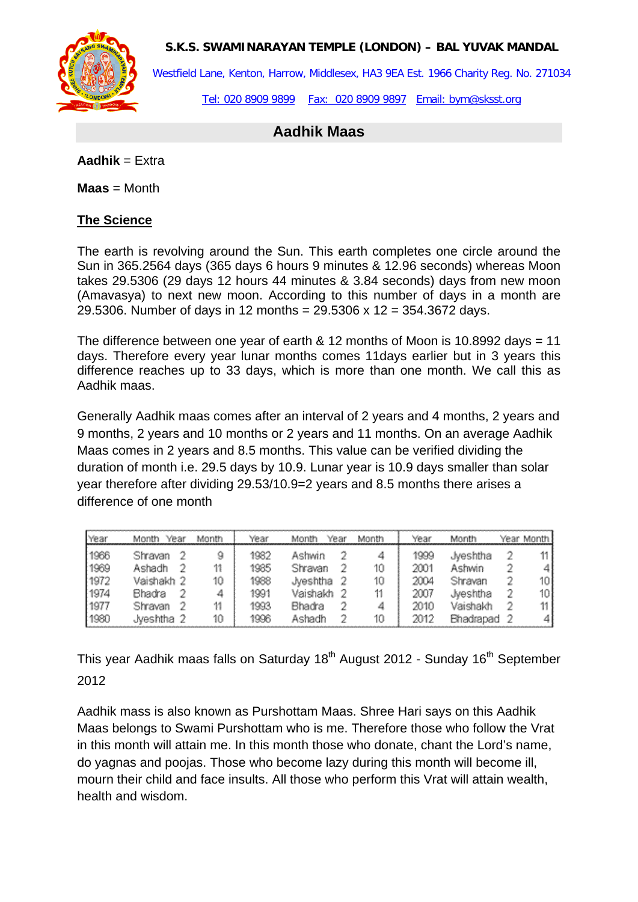**S.K.S. SWAMINARAYAN TEMPLE (LONDON) – BAL YUVAK MANDAL**



Westfield Lane, Kenton, Harrow, Middlesex, HA3 9EA Est. 1966 Charity Reg. No. 271034

Tel: 020 8909 9899 Fax: 020 8909 9897 Email: bym@sksst.org

## **Aadhik Maas**

**Aadhik** = Extra

**Maas** = Month

## **The Science**

The earth is revolving around the Sun. This earth completes one circle around the Sun in 365.2564 days (365 days 6 hours 9 minutes & 12.96 seconds) whereas Moon takes 29.5306 (29 days 12 hours 44 minutes & 3.84 seconds) days from new moon (Amavasya) to next new moon. According to this number of days in a month are 29.5306. Number of days in 12 months = 29.5306 x 12 = 354.3672 days.

The difference between one year of earth & 12 months of Moon is 10.8992 days = 11 days. Therefore every year lunar months comes 11days earlier but in 3 years this difference reaches up to 33 days, which is more than one month. We call this as Aadhik maas.

Generally Aadhik maas comes after an interval of 2 years and 4 months, 2 years and 9 months, 2 years and 10 months or 2 years and 11 months. On an average Aadhik Maas comes in 2 years and 8.5 months. This value can be verified dividing the duration of month i.e. 29.5 days by 10.9. Lunar year is 10.9 days smaller than solar year therefore after dividing 29.53/10.9=2 years and 8.5 months there arises a difference of one month

| <b>PYear</b> | Year<br>Month | Month | Year | Month    | Year | Month | Year | Month     | Year Month I |
|--------------|---------------|-------|------|----------|------|-------|------|-----------|--------------|
| 1966         | Shravan       | 9     | 1982 | Ashwin   |      | 4     | 1999 | Jveshtha  |              |
| 1969         | Ashadh        | 11    | 1985 | Shravan  |      | 10    | 2001 | Ashwin    | 41           |
| 1972         | Vaishakh 2    | 10    | 1988 | Jyeshtha |      | 10    | 2004 | Shravan   | 10           |
| 1974         | Bhadra        | 4     | 1991 | Vaishakh |      |       | 2007 | Jveshtha  | 101          |
| 1977         | Shravan       |       | 1993 | Bhadra   |      |       | 2010 | Vaishakh  | 11 I         |
| ⊩1980        | Jveshtha 2    | 10    | 1996 | Ashadh   |      | 10    | 2012 | Bhadrapad |              |

This year Aadhik maas falls on Saturday 18<sup>th</sup> August 2012 - Sunday 16<sup>th</sup> September 2012

Aadhik mass is also known as Purshottam Maas. Shree Hari says on this Aadhik Maas belongs to Swami Purshottam who is me. Therefore those who follow the Vrat in this month will attain me. In this month those who donate, chant the Lord's name, do yagnas and poojas. Those who become lazy during this month will become ill, mourn their child and face insults. All those who perform this Vrat will attain wealth, health and wisdom.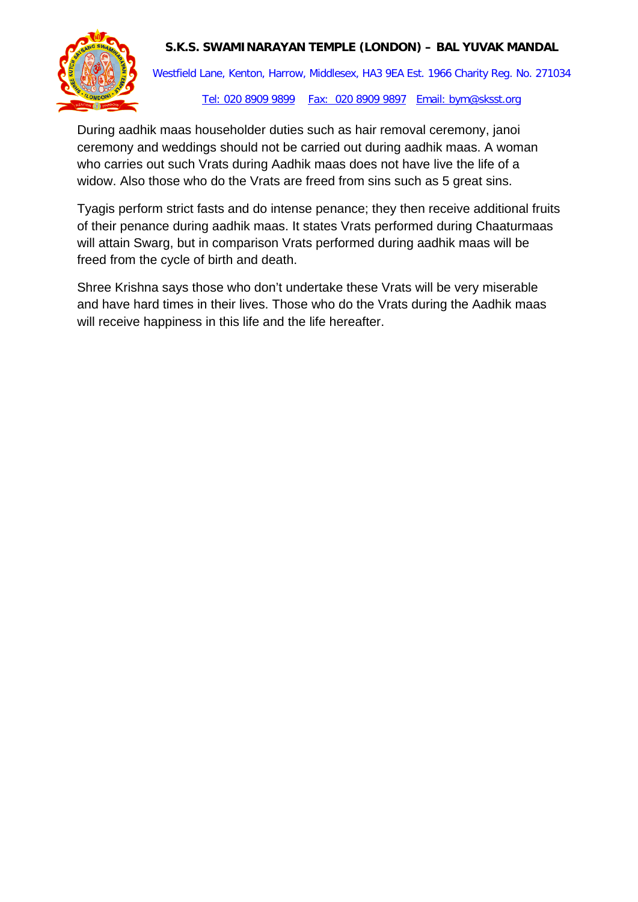## **S.K.S. SWAMINARAYAN TEMPLE (LONDON) – BAL YUVAK MANDAL**



Westfield Lane, Kenton, Harrow, Middlesex, HA3 9EA Est. 1966 Charity Reg. No. 271034 Tel: 020 8909 9899 Fax: 020 8909 9897 Email: bym@sksst.org

During aadhik maas householder duties such as hair removal ceremony, janoi ceremony and weddings should not be carried out during aadhik maas. A woman who carries out such Vrats during Aadhik maas does not have live the life of a widow. Also those who do the Vrats are freed from sins such as 5 great sins.

Tyagis perform strict fasts and do intense penance; they then receive additional fruits of their penance during aadhik maas. It states Vrats performed during Chaaturmaas will attain Swarg, but in comparison Vrats performed during aadhik maas will be freed from the cycle of birth and death.

Shree Krishna says those who don't undertake these Vrats will be very miserable and have hard times in their lives. Those who do the Vrats during the Aadhik maas will receive happiness in this life and the life hereafter.